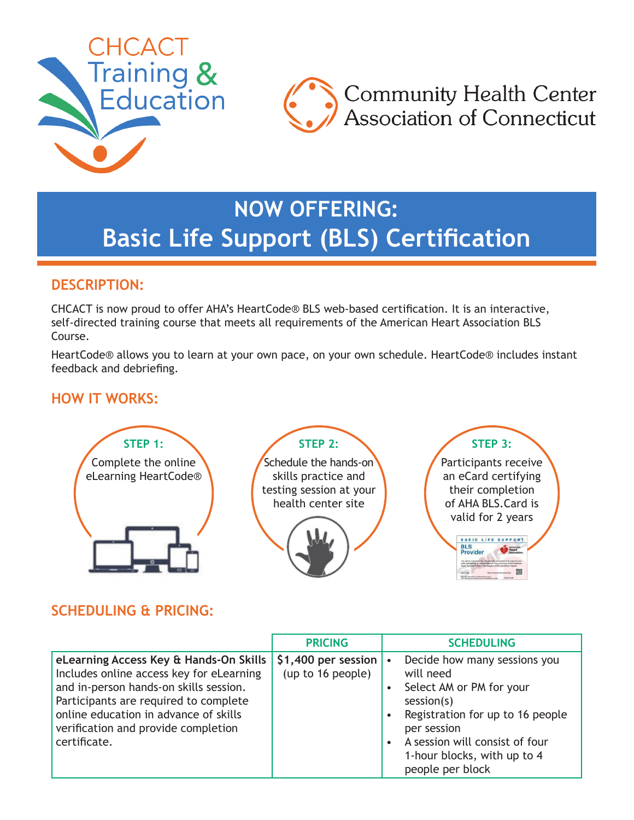



# **NOW OFFERING: Basic Life Support (BLS) Certification**

## **DESCRIPTION:**

CHCACT is now proud to offer AHA's HeartCode® BLS web-based certification. It is an interactive, self-directed training course that meets all requirements of the American Heart Association BLS Course.

HeartCode® allows you to learn at your own pace, on your own schedule. HeartCode® includes instant feedback and debriefing.

## **HOW IT WORKS:**



## **SCHEDULING & PRICING:**

|                                                                                                                                                                                                                                                                       | <b>PRICING</b>                            | <b>SCHEDULING</b>                                                                                                                                                                                                                                                  |
|-----------------------------------------------------------------------------------------------------------------------------------------------------------------------------------------------------------------------------------------------------------------------|-------------------------------------------|--------------------------------------------------------------------------------------------------------------------------------------------------------------------------------------------------------------------------------------------------------------------|
| eLearning Access Key & Hands-On Skills<br>Includes online access key for eLearning<br>and in-person hands-on skills session.<br>Participants are required to complete<br>online education in advance of skills<br>verification and provide completion<br>certificate. | $$1,400$ per session<br>(up to 16 people) | Decide how many sessions you<br>$\bullet$<br>will need<br>Select AM or PM for your<br>session(s)<br>Registration for up to 16 people<br>$\bullet$<br>per session<br>A session will consist of four<br>$\bullet$<br>1-hour blocks, with up to 4<br>people per block |